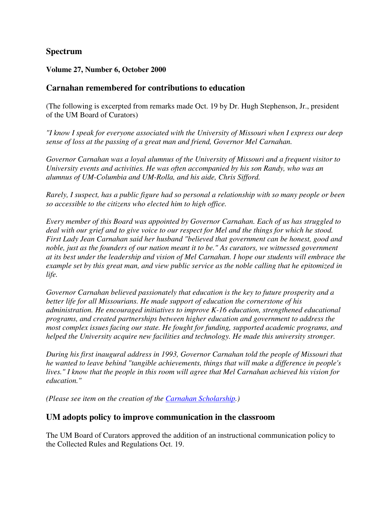## **Spectrum**

#### **Volume 27, Number 6, October 2000**

#### **Carnahan remembered for contributions to education**

(The following is excerpted from remarks made Oct. 19 by Dr. Hugh Stephenson, Jr., president of the UM Board of Curators)

*"I know I speak for everyone associated with the University of Missouri when I express our deep sense of loss at the passing of a great man and friend, Governor Mel Carnahan.* 

*Governor Carnahan was a loyal alumnus of the University of Missouri and a frequent visitor to University events and activities. He was often accompanied by his son Randy, who was an alumnus of UM-Columbia and UM-Rolla, and his aide, Chris Sifford.* 

*Rarely, I suspect, has a public figure had so personal a relationship with so many people or been so accessible to the citizens who elected him to high office.* 

*Every member of this Board was appointed by Governor Carnahan. Each of us has struggled to deal with our grief and to give voice to our respect for Mel and the things for which he stood. First Lady Jean Carnahan said her husband "believed that government can be honest, good and noble, just as the founders of our nation meant it to be." As curators, we witnessed government at its best under the leadership and vision of Mel Carnahan. I hope our students will embrace the example set by this great man, and view public service as the noble calling that he epitomized in life.* 

*Governor Carnahan believed passionately that education is the key to future prosperity and a better life for all Missourians. He made support of education the cornerstone of his administration. He encouraged initiatives to improve K-16 education, strengthened educational programs, and created partnerships between higher education and government to address the most complex issues facing our state. He fought for funding, supported academic programs, and helped the University acquire new facilities and technology. He made this university stronger.* 

*During his first inaugural address in 1993, Governor Carnahan told the people of Missouri that he wanted to leave behind "tangible achievements, things that will make a difference in people's lives." I know that the people in this room will agree that Mel Carnahan achieved his vision for education."* 

*(Please see item on the creation of the Carnahan Scholarship.)*

#### **UM adopts policy to improve communication in the classroom**

The UM Board of Curators approved the addition of an instructional communication policy to the Collected Rules and Regulations Oct. 19.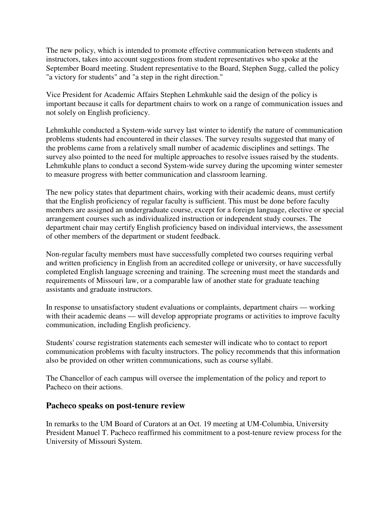The new policy, which is intended to promote effective communication between students and instructors, takes into account suggestions from student representatives who spoke at the September Board meeting. Student representative to the Board, Stephen Sugg, called the policy "a victory for students" and "a step in the right direction."

Vice President for Academic Affairs Stephen Lehmkuhle said the design of the policy is important because it calls for department chairs to work on a range of communication issues and not solely on English proficiency.

Lehmkuhle conducted a System-wide survey last winter to identify the nature of communication problems students had encountered in their classes. The survey results suggested that many of the problems came from a relatively small number of academic disciplines and settings. The survey also pointed to the need for multiple approaches to resolve issues raised by the students. Lehmkuhle plans to conduct a second System-wide survey during the upcoming winter semester to measure progress with better communication and classroom learning.

The new policy states that department chairs, working with their academic deans, must certify that the English proficiency of regular faculty is sufficient. This must be done before faculty members are assigned an undergraduate course, except for a foreign language, elective or special arrangement courses such as individualized instruction or independent study courses. The department chair may certify English proficiency based on individual interviews, the assessment of other members of the department or student feedback.

Non-regular faculty members must have successfully completed two courses requiring verbal and written proficiency in English from an accredited college or university, or have successfully completed English language screening and training. The screening must meet the standards and requirements of Missouri law, or a comparable law of another state for graduate teaching assistants and graduate instructors.

In response to unsatisfactory student evaluations or complaints, department chairs — working with their academic deans — will develop appropriate programs or activities to improve faculty communication, including English proficiency.

Students' course registration statements each semester will indicate who to contact to report communication problems with faculty instructors. The policy recommends that this information also be provided on other written communications, such as course syllabi.

The Chancellor of each campus will oversee the implementation of the policy and report to Pacheco on their actions.

#### **Pacheco speaks on post-tenure review**

In remarks to the UM Board of Curators at an Oct. 19 meeting at UM-Columbia, University President Manuel T. Pacheco reaffirmed his commitment to a post-tenure review process for the University of Missouri System.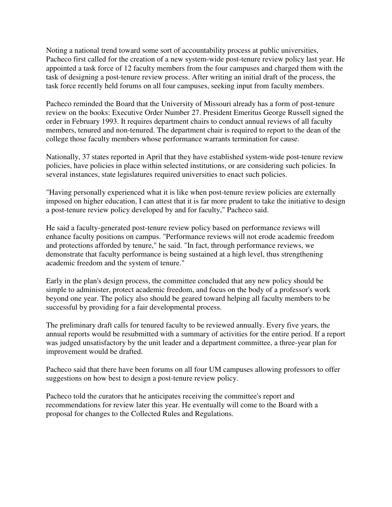Noting a national trend toward some sort of accountability process at public universities, Pacheco first called for the creation of a new system-wide post-tenure review policy last year. He appointed a task force of 12 faculty members from the four campuses and charged them with the task of designing a post-tenure review process. After writing an initial draft of the process, the task force recently held forums on all four campuses, seeking input from faculty members.

Pacheco reminded the Board that the University of Missouri already has a form of post-tenure review on the books: Executive Order Number 27. President Emeritus George Russell signed the order in February 1993. It requires department chairs to conduct annual reviews of all faculty members, tenured and non-tenured. The department chair is required to report to the dean of the college those faculty members whose performance warrants termination for cause.

Nationally, 37 states reported in April that they have established system-wide post-tenure review policies, have policies in place within selected institutions, or are considering such policies. In several instances, state legislatures required universities to enact such policies.

"Having personally experienced what it is like when post-tenure review policies are externally imposed on higher education, I can attest that it is far more prudent to take the initiative to design a post-tenure review policy developed by and for faculty," Pacheco said.

He said a faculty-generated post-tenure review policy based on performance reviews will enhance faculty positions on campus. "Performance reviews will not erode academic freedom and protections afforded by tenure," he said. "In fact, through performance reviews, we demonstrate that faculty performance is being sustained at a high level, thus strengthening academic freedom and the system of tenure."

Early in the plan's design process, the committee concluded that any new policy should be simple to administer, protect academic freedom, and focus on the body of a professor's work beyond one year. The policy also should be geared toward helping all faculty members to be successful by providing for a fair developmental process.

The preliminary draft calls for tenured faculty to be reviewed annually. Every five years, the annual reports would be resubmitted with a summary of activities for the entire period. If a report was judged unsatisfactory by the unit leader and a department committee, a three-year plan for improvement would be drafted.

Pacheco said that there have been forums on all four UM campuses allowing professors to offer suggestions on how best to design a post-tenure review policy.

Pacheco told the curators that he anticipates receiving the committee's report and recommendations for review later this year. He eventually will come to the Board with a proposal for changes to the Collected Rules and Regulations.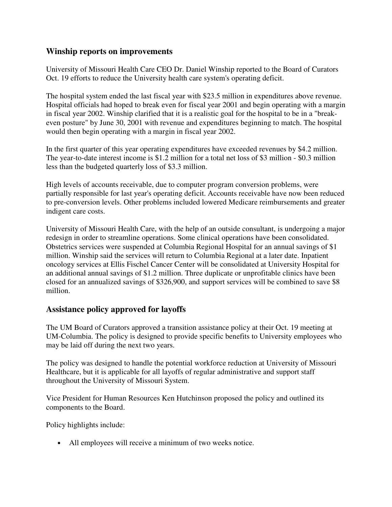## **Winship reports on improvements**

University of Missouri Health Care CEO Dr. Daniel Winship reported to the Board of Curators Oct. 19 efforts to reduce the University health care system's operating deficit.

The hospital system ended the last fiscal year with \$23.5 million in expenditures above revenue. Hospital officials had hoped to break even for fiscal year 2001 and begin operating with a margin in fiscal year 2002. Winship clarified that it is a realistic goal for the hospital to be in a "breakeven posture" by June 30, 2001 with revenue and expenditures beginning to match. The hospital would then begin operating with a margin in fiscal year 2002.

In the first quarter of this year operating expenditures have exceeded revenues by \$4.2 million. The year-to-date interest income is \$1.2 million for a total net loss of \$3 million - \$0.3 million less than the budgeted quarterly loss of \$3.3 million.

High levels of accounts receivable, due to computer program conversion problems, were partially responsible for last year's operating deficit. Accounts receivable have now been reduced to pre-conversion levels. Other problems included lowered Medicare reimbursements and greater indigent care costs.

University of Missouri Health Care, with the help of an outside consultant, is undergoing a major redesign in order to streamline operations. Some clinical operations have been consolidated. Obstetrics services were suspended at Columbia Regional Hospital for an annual savings of \$1 million. Winship said the services will return to Columbia Regional at a later date. Inpatient oncology services at Ellis Fischel Cancer Center will be consolidated at University Hospital for an additional annual savings of \$1.2 million. Three duplicate or unprofitable clinics have been closed for an annualized savings of \$326,900, and support services will be combined to save \$8 million.

## **Assistance policy approved for layoffs**

The UM Board of Curators approved a transition assistance policy at their Oct. 19 meeting at UM-Columbia. The policy is designed to provide specific benefits to University employees who may be laid off during the next two years.

The policy was designed to handle the potential workforce reduction at University of Missouri Healthcare, but it is applicable for all layoffs of regular administrative and support staff throughout the University of Missouri System.

Vice President for Human Resources Ken Hutchinson proposed the policy and outlined its components to the Board.

Policy highlights include:

• All employees will receive a minimum of two weeks notice.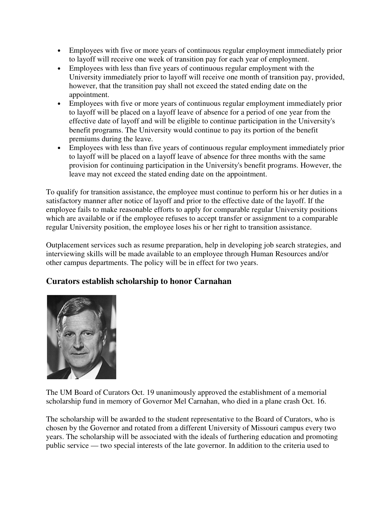- Employees with five or more years of continuous regular employment immediately prior to layoff will receive one week of transition pay for each year of employment.
- Employees with less than five years of continuous regular employment with the University immediately prior to layoff will receive one month of transition pay, provided, however, that the transition pay shall not exceed the stated ending date on the appointment.
- Employees with five or more years of continuous regular employment immediately prior to layoff will be placed on a layoff leave of absence for a period of one year from the effective date of layoff and will be eligible to continue participation in the University's benefit programs. The University would continue to pay its portion of the benefit premiums during the leave.
- Employees with less than five years of continuous regular employment immediately prior to layoff will be placed on a layoff leave of absence for three months with the same provision for continuing participation in the University's benefit programs. However, the leave may not exceed the stated ending date on the appointment.

To qualify for transition assistance, the employee must continue to perform his or her duties in a satisfactory manner after notice of layoff and prior to the effective date of the layoff. If the employee fails to make reasonable efforts to apply for comparable regular University positions which are available or if the employee refuses to accept transfer or assignment to a comparable regular University position, the employee loses his or her right to transition assistance.

Outplacement services such as resume preparation, help in developing job search strategies, and interviewing skills will be made available to an employee through Human Resources and/or other campus departments. The policy will be in effect for two years.

## **Curators establish scholarship to honor Carnahan**



The UM Board of Curators Oct. 19 unanimously approved the establishment of a memorial scholarship fund in memory of Governor Mel Carnahan, who died in a plane crash Oct. 16.

The scholarship will be awarded to the student representative to the Board of Curators, who is chosen by the Governor and rotated from a different University of Missouri campus every two years. The scholarship will be associated with the ideals of furthering education and promoting public service — two special interests of the late governor. In addition to the criteria used to